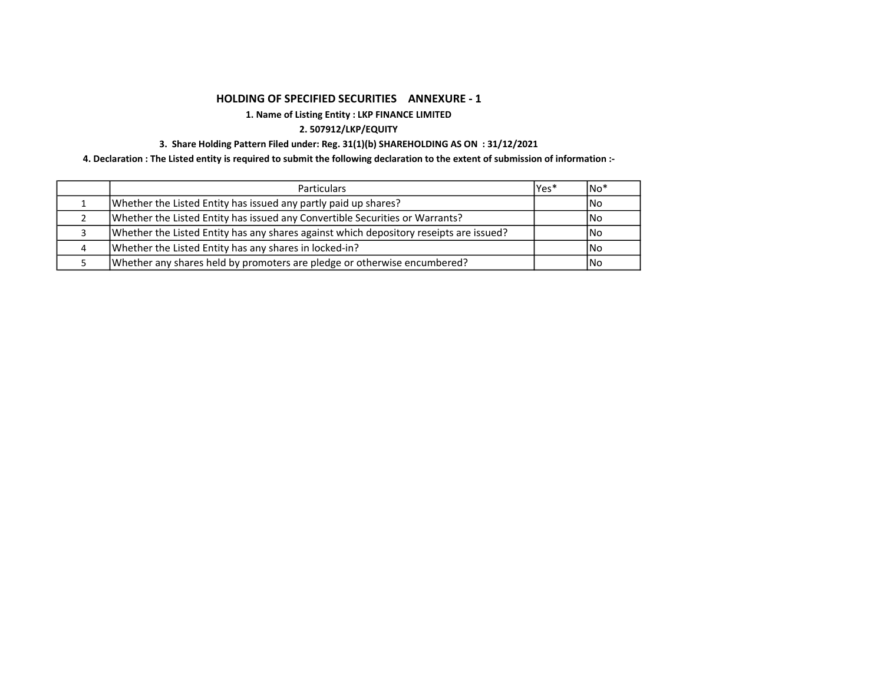# HOLDING OF SPECIFIED SECURITIES ANNEXURE - 1

# 1. Name of Listing Entity : LKP FINANCE LIMITED

# 2. 507912/LKP/EQUITY

# 3. Share Holding Pattern Filed under: Reg. 31(1)(b) SHAREHOLDING AS ON : 31/12/2021

4. Declaration : The Listed entity is required to submit the following declaration to the extent of submission of information :-

|   | <b>Particulars</b>                                                                     | lYes* | $No*$      |
|---|----------------------------------------------------------------------------------------|-------|------------|
|   | Whether the Listed Entity has issued any partly paid up shares?                        |       | INo.       |
|   | Whether the Listed Entity has issued any Convertible Securities or Warrants?           |       | l No       |
|   | Whether the Listed Entity has any shares against which depository reseipts are issued? |       | l No       |
| 4 | Whether the Listed Entity has any shares in locked-in?                                 |       | <b>INo</b> |
|   | Whether any shares held by promoters are pledge or otherwise encumbered?               |       | l No       |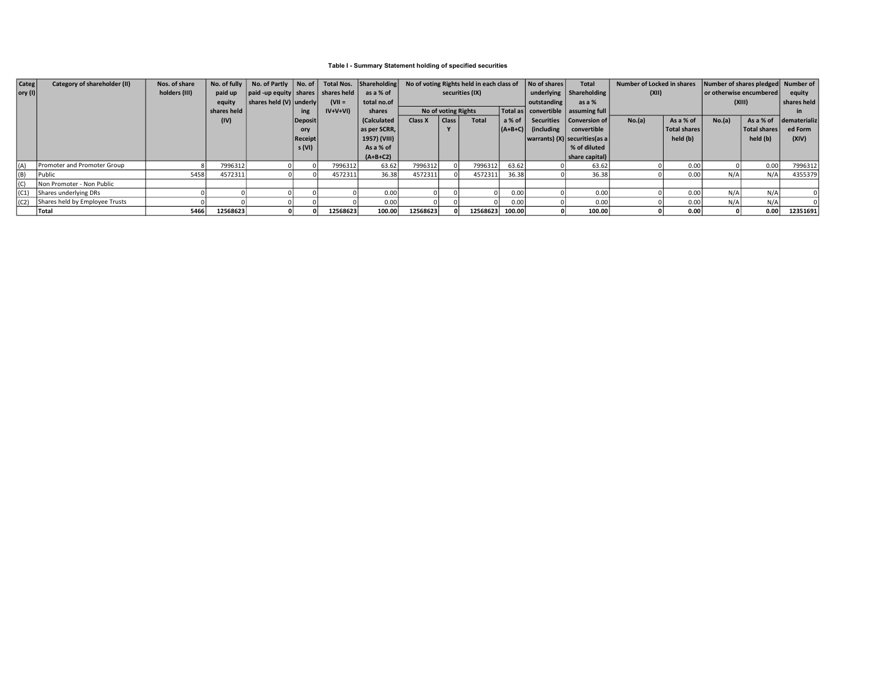### Table I - Summary Statement holding of specified securities

| <b>Categ</b>    | Category of shareholder (II)   | Nos. of share | No. of fully $\ $ | No. of Partly No. of               |                |             | Total Nos. Shareholding | No of voting Rights held in each class of |                     | No of shares | <b>Total</b>                           | Number of Locked in shares      |                                  | Number of shares pledged Number of |                         |        |              |              |
|-----------------|--------------------------------|---------------|-------------------|------------------------------------|----------------|-------------|-------------------------|-------------------------------------------|---------------------|--------------|----------------------------------------|---------------------------------|----------------------------------|------------------------------------|-------------------------|--------|--------------|--------------|
| $ $ ory (I) $ $ |                                | holders (III) | paid up           | $ $ paid -up equity $ $ shares $ $ |                | shares held | as a % of               |                                           | securities (IX)     |              |                                        | underlying $\vert$ Shareholding | (XII)                            |                                    | or otherwise encumbered |        | equity       |              |
|                 |                                |               | equity            | shares held $(V)$ underly          |                | $(VII =$    | total no.of             |                                           |                     |              |                                        | outstanding                     | as a $%$                         |                                    |                         | (XIII) |              | shares held  |
|                 |                                |               | shares held       |                                    | ing            | $IV+V+VI$   | shares                  |                                           | No of voting Rights |              | Total as   convertible   assuming full |                                 |                                  |                                    |                         |        |              |              |
|                 |                                |               | (IV)              |                                    | Deposit        |             | (Calculated             | Class X                                   | Class               | <b>Total</b> | a % of                                 |                                 | Securities   Conversion of       | No.(a)                             | As a % of               | No.(a) | As a % of    | dematerializ |
|                 |                                |               |                   |                                    | ory            |             | as per SCRR,            |                                           |                     |              |                                        | $  (A+B+C)  $ (including        | convertible                      |                                    | Total shares            |        | Total shares | ed Form      |
|                 |                                |               |                   |                                    | <b>Receipt</b> |             | 1957) (VIII)            |                                           |                     |              |                                        |                                 | warrants) (X)   securities (as a |                                    | held (b)                |        | held (b)     | (XIV)        |
|                 |                                |               |                   |                                    | s (VI)         |             | As a % of               |                                           |                     |              |                                        |                                 | % of diluted                     |                                    |                         |        |              |              |
|                 |                                |               |                   |                                    |                |             | $(A+B+C2)$              |                                           |                     |              |                                        |                                 | share capital)                   |                                    |                         |        |              |              |
| I (A            | Promoter and Promoter Group    |               | 7996312           |                                    |                | 7996312     | 63.62                   | 7996312                                   |                     | 7996312      | 63.62                                  |                                 | 63.62                            |                                    | 0.00                    |        | 0.00         | 7996312      |
| (B)             | l Public                       | 5458          | 4572311           |                                    |                | 4572311     | 36.38                   | 4572311                                   |                     | 4572311      | 36.38                                  |                                 | 36.38                            |                                    | 0.00                    | N/A    | $N/A_1$      | 4355379      |
| l (C            | Non Promoter - Non Public      |               |                   |                                    |                |             |                         |                                           |                     |              |                                        |                                 |                                  |                                    |                         |        |              |              |
| (C1)            | Shares underlying DRs          |               |                   |                                    |                |             | 0.00                    |                                           |                     |              | 0.00                                   |                                 | 0.00                             |                                    | 0.00                    | N/A    | N/A          |              |
| (C2)            | Shares held by Employee Trusts |               |                   |                                    |                |             | 0.00                    |                                           |                     |              | 0.00                                   |                                 | 0.00                             |                                    | 0.00                    | N/A    | N/A          |              |
|                 | <b>Total</b>                   | 5466          | 12568623          |                                    |                | 12568623    | 100.00                  | 12568623                                  |                     | 12568623     | 100.00                                 |                                 | 100.00                           |                                    | 0.00                    |        | 0.00         | 12351691     |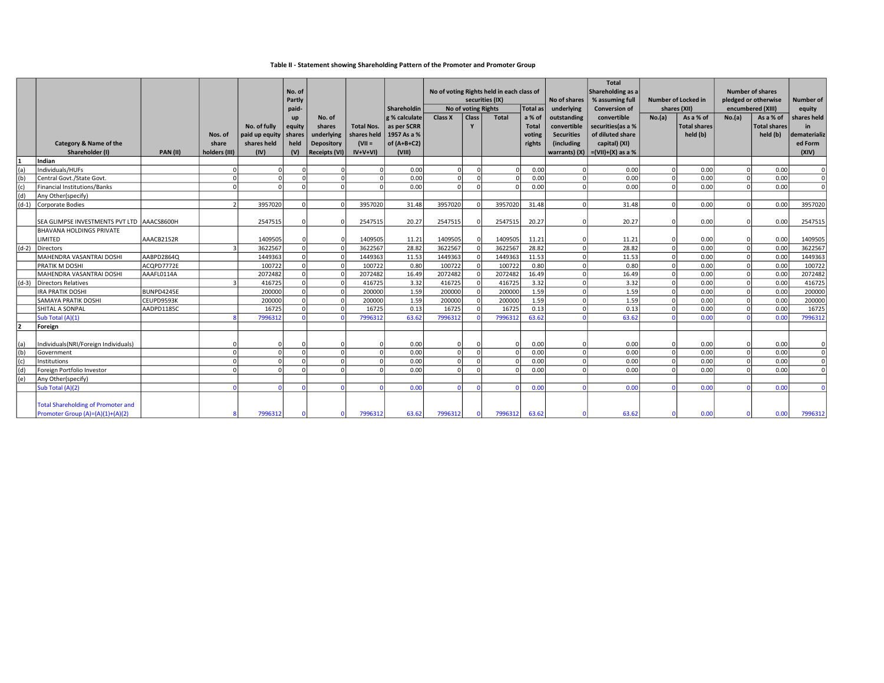### Table II - Statement showing Shareholding Pattern of the Promoter and Promoter Group

|     |                                            |                 |                |                |            |                      |                   |               |                                           |            |                 |              |                   | Total                |                            |                     |                      |              |                  |
|-----|--------------------------------------------|-----------------|----------------|----------------|------------|----------------------|-------------------|---------------|-------------------------------------------|------------|-----------------|--------------|-------------------|----------------------|----------------------------|---------------------|----------------------|--------------|------------------|
|     |                                            |                 |                |                | No. of     |                      |                   |               | No of voting Rights held in each class of |            |                 |              | Shareholding as a |                      |                            | Number of shares    |                      |              |                  |
|     |                                            |                 |                |                | Partly     |                      |                   |               |                                           |            | securities (IX) |              | No of shares      | % assuming full      | <b>Number of Locked in</b> |                     | pledged or otherwise |              | <b>Number of</b> |
|     |                                            |                 |                |                | paid-      |                      |                   | Shareholdin   | No of voting Rights                       |            |                 | Total as     | underlying        | <b>Conversion of</b> | shares (XII)               |                     | encumbered (XIII)    |              | equity           |
|     |                                            |                 |                |                | up         | No. of               |                   | g % calculate | <b>Class X</b>                            | Class      | Total           | a % of       | outstanding       | convertible          | No.(a)                     | As a % of           | No.(a)               | As a % of    | shares held      |
|     |                                            |                 |                | No. of fully   | equity     | shares               | <b>Total Nos.</b> | as per SCRR   |                                           |            |                 | <b>Total</b> | convertible       | securities (as a %   |                            | <b>Total shares</b> |                      | Total shares | in               |
|     |                                            |                 | Nos. of        | paid up equity | shares     | underlying           | shares held       | 1957 As a %   |                                           |            |                 | voting       | <b>Securities</b> | of diluted share     |                            | held (b)            |                      | held (b)     | dematerializ     |
|     | Category & Name of the                     |                 | share          | shares held    | held       | Depository           | $(VII =$          | of $(A+B+C2)$ |                                           |            |                 | rights       | (including        | capital) (XI)        |                            |                     |                      |              | ed Form          |
|     | Shareholder (I)                            | <b>PAN (II)</b> | holders (III)  | (IV)           | (V)        | <b>Receipts (VI)</b> | $IV+V+VI$         | (VIII)        |                                           |            |                 |              | warrants) (X)     | $=(VII)+(X)$ as a %  |                            |                     |                      |              | (XIV)            |
|     | Indian                                     |                 |                |                |            |                      |                   |               |                                           |            |                 |              |                   |                      |                            |                     |                      |              |                  |
| (a) | Individuals/HUFs                           |                 | 0l             | 0l             |            |                      |                   | 0.00          |                                           |            | O               | 0.00         | $\Omega$          | 0.00                 | $\Omega$                   | 0.00                |                      | 0.00         |                  |
| (b) | Central Govt./State Govt.                  |                 | $\mathfrak{o}$ |                |            | $\Omega$             |                   | 0.00          |                                           |            |                 | 0.00         | $\Omega$          | 0.00                 | $\Omega$                   | 0.00                |                      | 0.00         | $\Omega$         |
| (c) | Financial Institutions/Banks               |                 | $\Omega$       |                |            | $\Omega$             |                   | 0.00          |                                           | $\Omega$   |                 | 0.00         | $\Omega$          | 0.00                 | $\Omega$                   | 0.00                |                      | 0.00         | nl               |
| (d) | Any Other(specify)                         |                 |                |                |            |                      |                   |               |                                           |            |                 |              |                   |                      |                            |                     |                      |              |                  |
|     | (d-1) Corporate Bodies                     |                 | $\mathcal{P}$  | 3957020        | C          | $\Omega$             | 3957020           | 31.48         | 3957020                                   | $\Omega$   | 3957020         | 31.48        | $\cap$            | 31.48                | $\Omega$                   | 0.00                | $\Omega$             | 0.00         | 3957020          |
|     |                                            |                 |                |                |            |                      |                   |               |                                           |            |                 |              |                   |                      |                            |                     |                      |              |                  |
|     | SEA GLIMPSE INVESTMENTS PVT LTD AAACS8600H |                 |                | 2547515        |            |                      | 2547515           | 20.27         | 2547515                                   |            | 2547515         | 20.27        |                   | 20.27                | $\Omega$                   | 0.00                |                      | 0.00         | 2547515          |
|     | <b>BHAVANA HOLDINGS PRIVATE</b>            |                 |                |                |            |                      |                   |               |                                           |            |                 |              |                   |                      |                            |                     |                      |              |                  |
|     | LIMITED                                    | AAACB2152R      |                | 1409505        |            |                      | 1409505           | 11.21         | 1409505                                   |            | 1409505         | 11.21        |                   | 11.21                | $\Omega$                   | 0.00                |                      | 0.00         | 1409505          |
|     | (d-2) Directors                            |                 | $\overline{3}$ | 3622567        | $\Omega$   |                      | 3622567           | 28.82         | 3622567                                   | $\Omega$   | 3622567         | 28.82        |                   | 28.82                | $\Omega$                   | 0.00                |                      | 0.00         | 3622567          |
|     | MAHENDRA VASANTRAI DOSHI                   | AABPD2864Q      |                | 1449363        | $\Omega$   |                      | 1449363           | 11.53         | 1449363                                   | $\Omega$   | 1449363         | 11.53        | $\Omega$          | 11.53                | 0                          | 0.00                |                      | 0.00         | 1449363          |
|     | PRATIK M DOSHI                             | ACQPD7772E      |                | 100722         | $\Omega$   | $\Omega$             | 100722            | 0.80          | 100722                                    |            | 100722          | 0.80         | $\Omega$          | 0.80                 | $\Omega$                   | 0.00                |                      | 0.00         | 100722           |
|     | MAHENDRA VASANTRAI DOSHI                   | AAAFL0114A      |                | 2072482        | $\Omega$   |                      | 2072482           | 16.49         | 2072482                                   | $\Omega$   | 2072482         | 16.49        | $\Omega$          | 16.49                | $\Omega$                   | 0.00                |                      | 0.00         | 2072482          |
|     | (d-3) Directors Relatives                  |                 | 3              | 416725         | $\Omega$   |                      | 416725            | 3.32          | 416725                                    | $\Omega$   | 416725          | 3.32         | $\Omega$          | 3.32                 | $\Omega$                   | 0.00                |                      | 0.00         | 416725           |
|     | IRA PRATIK DOSHI                           | BUNPD4245E      |                | 200000         | $\Omega$   |                      | 200000            | 1.59          | 200000                                    | $\Omega$   | 200000          | 1.59         | $\Omega$          | 1.59                 | 0                          | 0.00                |                      | 0.00         | 200000           |
|     | <b>SAMAYA PRATIK DOSHI</b>                 | CEUPD9593K      |                | 200000         | $\Omega$   |                      | 200000            | 1.59          | 200000                                    | $\Omega$   | 200000          | 1.59         | $\Omega$          | 1.59                 | $\Omega$                   | 0.00                |                      | 0.00         | 200000           |
|     | SHITAL A SONPAL                            | AADPD1185C      |                | 16725          | $\sqrt{ }$ | $\Omega$             | 16725             | 0.13          | 16725                                     | $\Omega$   | 16725           | 0.13         |                   | 0.13                 |                            | 0.00                |                      | 0.00         | 16725            |
|     | Sub Total (A)(1)                           |                 |                | 7996312        |            |                      | 7996312           | 63.62         | 7996312                                   |            | 7996312         | 63.62        |                   | 63.62                |                            | 0.00                |                      | 0.00         | 7996312          |
| 12  | Foreign                                    |                 |                |                |            |                      |                   |               |                                           |            |                 |              |                   |                      |                            |                     |                      |              |                  |
|     |                                            |                 |                |                |            |                      |                   |               |                                           |            |                 |              |                   |                      |                            |                     |                      |              |                  |
| (a) | Individuals(NRI/Foreign Individuals)       |                 |                | $\Omega$       |            |                      |                   | 0.00          |                                           |            |                 | 0.00         |                   | 0.00                 | $\Omega$                   | 0.00                |                      | 0.00         |                  |
| (b) | Government                                 |                 | $\Omega$       | $\Omega$       | $\sqrt{2}$ | $\Omega$             | $\Omega$          | 0.00          |                                           | $\Omega$   |                 | 0.00         | $\Omega$          | 0.00                 | 0                          | 0.00                |                      | 0.00         | $\Omega$         |
| (c) | Institutions                               |                 | $\Omega$       | $\Omega$       |            | $\Omega$             | $\Omega$          | 0.00          |                                           |            |                 | 0.00         |                   | 0.00                 | $\Omega$                   | 0.00                |                      | 0.00         | $\Omega$         |
| (d) | Foreign Portfolio Investor                 |                 | $\Omega$       | $\Omega$       |            | $\Omega$             | $\Omega$          | 0.00          |                                           |            |                 | 0.00         |                   | 0.00                 | $\Omega$                   | 0.00                |                      | 0.00         | $\Omega$         |
| (e) | Any Other(specify)                         |                 |                |                |            |                      |                   |               |                                           |            |                 |              |                   |                      |                            |                     |                      |              |                  |
|     | Sub Total (A)(2)                           |                 | $\Omega$       | $\Omega$       |            |                      |                   | 0.00          |                                           | $\sqrt{ }$ |                 | 0.00         |                   | 0.00                 |                            | 0.00                |                      | 0.00         |                  |
|     | <b>Total Shareholding of Promoter and</b>  |                 |                |                |            |                      |                   |               |                                           |            |                 |              |                   |                      |                            |                     |                      |              |                  |
|     | Promoter Group (A)=(A)(1)+(A)(2)           |                 |                | 7996312        |            |                      | 7996312           | 63.62         | 7996312                                   |            | 7996312         | 63.62        |                   | 63.62                |                            | 0.00                |                      | 0.00         | 7996312          |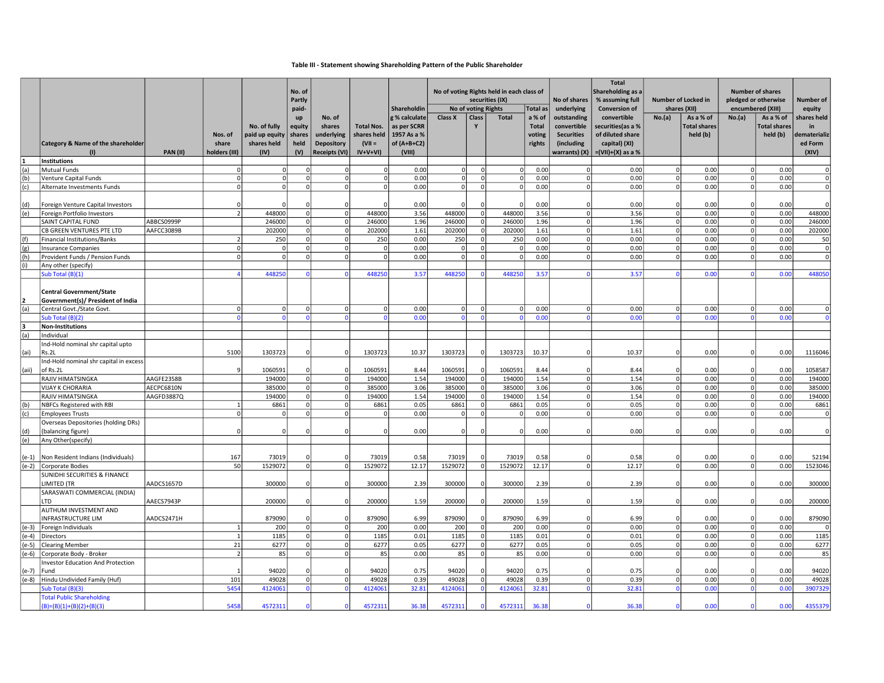### Table III - Statement showing Shareholding Pattern of the Public Shareholder

|             |                                                                                          | No of voting Rights held in each class of<br>No. of<br>Partly<br>securities (IX) |                                   |                                                       |                                       |                                                                             |                                                           | No of shares                                                           | <b>Total</b><br>Shareholding as a<br>% assuming full | Number of Locked in     |                | <b>Number of shares</b><br>pledged or otherwise |                                                                                | <b>Number of</b>                                                                             |                |                                              |                     |                                              |                                                       |
|-------------|------------------------------------------------------------------------------------------|----------------------------------------------------------------------------------|-----------------------------------|-------------------------------------------------------|---------------------------------------|-----------------------------------------------------------------------------|-----------------------------------------------------------|------------------------------------------------------------------------|------------------------------------------------------|-------------------------|----------------|-------------------------------------------------|--------------------------------------------------------------------------------|----------------------------------------------------------------------------------------------|----------------|----------------------------------------------|---------------------|----------------------------------------------|-------------------------------------------------------|
|             |                                                                                          |                                                                                  |                                   |                                                       | paid-                                 |                                                                             |                                                           | Shareholdin                                                            |                                                      | No of voting Rights     |                | <b>Total</b> as                                 | underlying                                                                     | <b>Conversion of</b>                                                                         |                | shares (XII)                                 | encumbered (XIII)   |                                              | equity                                                |
|             | <b>Category &amp; Name of the shareholder</b>                                            | <b>PAN (II)</b>                                                                  | Nos. of<br>share<br>holders (III) | No. of fully<br>paid up equity<br>shares held<br>(IV) | up<br>equity<br>shares<br>held<br>(V) | No. of<br>shares<br>underlying<br><b>Depository</b><br><b>Receipts (VI)</b> | <b>Total Nos.</b><br>shares held<br>$(VII =$<br>$IV+V+VI$ | g % calculate<br>as per SCRR<br>1957 As a %<br>of $(A+B+C2)$<br>(VIII) | Class X                                              | <b>Class</b>            | <b>Total</b>   | a % of<br><b>Total</b><br>voting<br>rights      | outstanding<br>convertible<br><b>Securities</b><br>(including<br>warrants) (X) | convertible<br>securities(as a %<br>of diluted share<br>capital) (XI)<br>$=(VII)+(X)$ as a % | No.(a)         | As a % of<br><b>Total shares</b><br>held (b) | No.(a)              | As a % of<br><b>Total shares</b><br>held (b) | shares held<br>in<br>lematerializ<br>ed Form<br>(XIV) |
|             | <b>Institutions</b>                                                                      |                                                                                  |                                   |                                                       |                                       |                                                                             |                                                           |                                                                        |                                                      |                         |                |                                                 |                                                                                |                                                                                              |                |                                              |                     |                                              |                                                       |
| (a)         | <b>Mutual Funds</b>                                                                      |                                                                                  | $\overline{0}$                    | 0l                                                    | $\Omega$                              | 0                                                                           | $\Omega$                                                  | 0.00                                                                   |                                                      | $\Omega$                | $\overline{0}$ | 0.00                                            | $\Omega$                                                                       | 0.00                                                                                         | 0l             | 0.00                                         | $\overline{0}$      | 0.00                                         | $\overline{0}$                                        |
| (b)         | Venture Capital Funds                                                                    |                                                                                  | 0                                 | 0                                                     | $\Omega$                              | 0                                                                           | 0                                                         | 0.00                                                                   | $\Omega$                                             | $\mathbf 0$             | $\mathbf 0$    | 0.00                                            | $\circ$                                                                        | 0.00                                                                                         | 0              | 0.00                                         | $\overline{0}$      | 0.00                                         | $\mathbf 0$                                           |
| (c)         | Alternate Investments Funds                                                              |                                                                                  | $\Omega$                          | $\Omega$                                              | $\mathbf 0$                           | 0                                                                           | 0                                                         | 0.00                                                                   | $\Omega$                                             | $\mathbf 0$             | $\overline{0}$ | 0.00                                            | $\Omega$                                                                       | 0.00                                                                                         | $\Omega$       | 0.00                                         | $\Omega$            | 0.00                                         | 0                                                     |
| (d)         | Foreign Venture Capital Investors                                                        |                                                                                  | $\Omega$                          |                                                       | $\Omega$                              | $\Omega$                                                                    |                                                           | 0.00                                                                   |                                                      | $\Omega$                |                | 0.00                                            | $\Omega$                                                                       | 0.00                                                                                         | $\Omega$       | 0.00                                         | $\Omega$            | 0.00                                         |                                                       |
| (e)         | Foreign Portfolio Investors                                                              |                                                                                  | $\overline{2}$                    | 448000                                                | $\mathbf 0$                           | 0                                                                           | 448000                                                    | 3.56                                                                   | 448000                                               | $\mathbf 0$             | 448000         | 3.56                                            | $\Omega$                                                                       | 3.56                                                                                         | 0              | 0.00                                         | $\circ$             | 0.00                                         | 448000                                                |
|             | SAINT CAPITAL FUND                                                                       | ABBCS0999P                                                                       |                                   | 246000                                                | $\overline{0}$                        | 0                                                                           | 246000                                                    | 1.96                                                                   | 246000                                               | $\mathbf 0$             | 246000         | 1.96                                            | $\mathbf 0$                                                                    | 1.96                                                                                         | $\mathbf 0$    | 0.00                                         | $\Omega$            | 0.00                                         | 246000                                                |
|             | CB GREEN VENTURES PTE LTD                                                                | AAFCC3089B                                                                       |                                   | 202000                                                | 0                                     | $\overline{\mathfrak{o}}$                                                   | 202000                                                    | 1.61                                                                   | 202000                                               | $\mathbf 0$             | 202000         | 1.61                                            | $\Omega$                                                                       | 1.61                                                                                         | $\Omega$       | 0.00                                         | $\Omega$            | 0.00                                         | 202000                                                |
| (f)         | Financial Institutions/Banks                                                             |                                                                                  | $\overline{\mathcal{L}}$          | 250                                                   | $\Omega$                              | 0                                                                           | 250                                                       | 0.00                                                                   | 250                                                  | $\mathbf 0$             | 250            | 0.00                                            | $\Omega$                                                                       | 0.00                                                                                         | $\Omega$       | 0.00                                         | $\overline{0}$      | 0.00                                         | 50                                                    |
| (g)         | <b>Insurance Companies</b>                                                               |                                                                                  | $\Omega$<br>$\Omega$              | $\Omega$<br>$\Omega$                                  | 0 <br>$\Omega$                        | 0                                                                           | $\mathbf 0$                                               | 0.00                                                                   | $\Omega$<br>$\Omega$                                 | $\mathsf 0$<br>$\Omega$ | $\mathbf{0}$   | 0.00                                            | $\overline{0}$<br>$\Omega$                                                     | 0.00                                                                                         | 0 <br>$\Omega$ | 0.00                                         | $\circ$<br>$\Omega$ | 0.00                                         | $\mathbf{0}$                                          |
| (h)<br>l(i) | Provident Funds / Pension Funds                                                          |                                                                                  |                                   |                                                       |                                       | 0                                                                           | 0                                                         | 0.00                                                                   |                                                      |                         | $\Omega$       | 0.00                                            |                                                                                | 0.00                                                                                         |                | 0.00                                         |                     | 0.00                                         | $\overline{0}$                                        |
|             | Any other (specify)                                                                      |                                                                                  | $\Delta$                          | 448250                                                | $\Omega$                              | $\Omega$                                                                    | 448250                                                    | 3.57                                                                   | 448250                                               | $\Omega$                | 44825          | 3.57                                            | $\Omega$                                                                       | 3.57                                                                                         | $\Omega$       | 0.00                                         | $\Omega$            | 0.00                                         | 448050                                                |
|             | Sub Total (B)(1)<br><b>Central Government/State</b><br>Government(s)/ President of India |                                                                                  |                                   |                                                       |                                       |                                                                             |                                                           |                                                                        |                                                      |                         |                |                                                 |                                                                                |                                                                                              |                |                                              |                     |                                              |                                                       |
| (a)         | Central Govt./State Govt.                                                                |                                                                                  | 0                                 | 0                                                     | $\Omega$                              | 0                                                                           | 0                                                         | 0.00                                                                   | $\Omega$                                             | $\mathsf 0$             | $\Omega$       | 0.00                                            | $\Omega$                                                                       | 0.00                                                                                         | $\Omega$       | 0.00                                         | $\Omega$            | 0.00                                         | $\Omega$                                              |
|             | Sub Total (B)(2)                                                                         |                                                                                  | $\Omega$                          | $\Omega$                                              | $\Omega$                              | $\Omega$                                                                    | $\Omega$                                                  | 0.00                                                                   |                                                      | $\Omega$                |                | 0.00                                            | $\Omega$                                                                       | 0.00                                                                                         |                | 0.00                                         | $\Omega$            | 0.00                                         | $\Omega$                                              |
| lз          | <b>Non-Institutions</b>                                                                  |                                                                                  |                                   |                                                       |                                       |                                                                             |                                                           |                                                                        |                                                      |                         |                |                                                 |                                                                                |                                                                                              |                |                                              |                     |                                              |                                                       |
| (a)         | Individual                                                                               |                                                                                  |                                   |                                                       |                                       |                                                                             |                                                           |                                                                        |                                                      |                         |                |                                                 |                                                                                |                                                                                              |                |                                              |                     |                                              |                                                       |
|             | Ind-Hold nominal shr capital upto                                                        |                                                                                  |                                   |                                                       |                                       |                                                                             |                                                           |                                                                        |                                                      |                         |                |                                                 |                                                                                |                                                                                              |                |                                              |                     |                                              |                                                       |
| (ai)        | Rs.2L<br>Ind-Hold nominal shr capital in excess                                          |                                                                                  | 5100                              | 1303723                                               | $\mathbf 0$                           | $\mathbf 0$                                                                 | 1303723                                                   | 10.37                                                                  | 1303723                                              | $\mathsf 0$             | 1303723        | 10.37                                           | $\overline{0}$                                                                 | 10.37                                                                                        | $\mathbf 0$    | 0.00                                         | $\mathbf 0$         | 0.00                                         | 1116046                                               |
| (aii)       | of Rs.2L                                                                                 |                                                                                  | $\mathbf{q}$                      | 1060591                                               | $\Omega$                              | 0l                                                                          | 1060591                                                   | 8.44                                                                   | 1060591                                              | $\mathsf{o}$            | 1060591        | 8.44                                            | $\Omega$                                                                       | 8.44                                                                                         | $\Omega$       | 0.00                                         | $\Omega$            | 0.00                                         | 1058587                                               |
|             | RAJIV HIMATSINGKA                                                                        | AAGFE2358B                                                                       |                                   | 194000                                                | $\mathbf 0$                           | 0                                                                           | 194000                                                    | 1.54                                                                   | 194000                                               | $\mathbf 0$             | 194000         | 1.54                                            | $\Omega$                                                                       | 1.54                                                                                         | 0              | 0.00                                         | $\Omega$            | 0.00                                         | 194000                                                |
|             | <b>VIJAY K CHORARIA</b>                                                                  | AECPC6810N                                                                       |                                   | 385000                                                | 0                                     | 0                                                                           | 385000                                                    | 3.06                                                                   | 385000                                               | $\mathbf 0$             | 385000         | 3.06                                            | $\mathbf 0$                                                                    | 3.06                                                                                         | 0              | 0.00                                         | $\overline{0}$      | 0.00                                         | 385000                                                |
|             | RAJIV HIMATSINGKA                                                                        | AAGFD3887Q                                                                       |                                   | 194000                                                | $\overline{0}$                        | 0                                                                           | 194000                                                    | 1.54                                                                   | 194000                                               | $\mathsf{o}$            | 194000         | 1.54                                            | $\Omega$                                                                       | 1.54                                                                                         | $\Omega$       | 0.00                                         | $\circ$             | 0.00                                         | 194000                                                |
| (b)         | NBFCs Registered with RBI                                                                |                                                                                  | $\mathbf{1}$                      | 6861                                                  | 0                                     | 0                                                                           | 6861                                                      | 0.05                                                                   | 6861                                                 | $\mathsf{o}$            | 6861           | 0.05                                            | $\Omega$                                                                       | 0.05                                                                                         | $\Omega$       | 0.00                                         | $\Omega$            | 0.00                                         | 6861                                                  |
| (c)         | <b>Employees Trusts</b>                                                                  |                                                                                  | $\Omega$                          | $\Omega$                                              | $\mathbf 0$                           | 0                                                                           | $\mathbf 0$                                               | 0.00                                                                   | $\Omega$                                             | $\mathbf 0$             | $\Omega$       | 0.00                                            | $\mathbf 0$                                                                    | 0.00                                                                                         | $\Omega$       | 0.00                                         | $\Omega$            | 0.00                                         | $\overline{0}$                                        |
| (d)         | Overseas Depositories (holding DRs)<br>(balancing figure)                                |                                                                                  | $\Omega$                          |                                                       | $\Omega$                              | $\Omega$                                                                    | $\Omega$                                                  | 0.00                                                                   | $\Omega$                                             | $\Omega$                | $\mathbf{0}$   | 0.00                                            | $\Omega$                                                                       | 0.00                                                                                         | $\Omega$       | 0.00                                         | $\Omega$            | 0.00                                         | 0                                                     |
| (e)         | Any Other(specify)                                                                       |                                                                                  |                                   |                                                       |                                       |                                                                             |                                                           |                                                                        |                                                      |                         |                |                                                 |                                                                                |                                                                                              |                |                                              |                     |                                              |                                                       |
|             | (e-1)   Non Resident Indians (Individuals)                                               |                                                                                  | 167                               | 73019                                                 | $\Omega$                              | $\Omega$                                                                    | 73019                                                     | 0.58                                                                   | 73019                                                | $\mathbf 0$             | 73019          | 0.58                                            | $\Omega$                                                                       | 0.58                                                                                         | $\Omega$       | 0.00                                         | $\Omega$            | 0.00                                         | 52194                                                 |
|             | (e-2) Corporate Bodies                                                                   |                                                                                  | 50                                | 1529072                                               | 0                                     | 0                                                                           | 1529072                                                   | 12.17                                                                  | 1529072                                              | $\mathbf 0$             | 1529072        | 12.17                                           | $\overline{0}$                                                                 | 12.17                                                                                        | -ol            | 0.00                                         | $\circ$             | 0.00                                         | 1523046                                               |
|             | SUNIDHI SECURITIES & FINANCE<br>LIMITED (TR                                              | AADCS1657D                                                                       |                                   | 300000                                                | $\mathbf 0$                           | $\mathbf 0$                                                                 | 300000                                                    | 2.39                                                                   | 300000                                               | $\mathbf 0$             | 300000         | 2.39                                            | $\Omega$                                                                       | 2.39                                                                                         | $\Omega$       | 0.00                                         | $\Omega$            | 0.00                                         | 300000                                                |
|             | SARASWATI COMMERCIAL (INDIA)<br><b>LTD</b>                                               | AAECS7943P                                                                       |                                   | 200000                                                | $\mathbf 0$                           | 0l                                                                          | 200000                                                    | 1.59                                                                   | 200000                                               | $\Omega$                | 200000         | 1.59                                            | $\Omega$                                                                       | 1.59                                                                                         | $\Omega$       | 0.00                                         | $\Omega$            | 0.00                                         | 200000                                                |
|             | AUTHUM INVESTMENT AND<br><b>INFRASTRUCTURE LIM</b>                                       | AADCS2471H                                                                       |                                   | 879090                                                | $\Omega$                              | $\mathbf{0}$                                                                | 879090                                                    | 6.99                                                                   | 879090                                               | $\mathbf 0$             | 879090         | 6.99                                            | $\Omega$                                                                       | 6.99                                                                                         | $\Omega$       | 0.00                                         | $\Omega$            | 0.00                                         | 879090                                                |
| $(e-3)$     | Foreign Individuals                                                                      |                                                                                  | $\mathbf{1}$                      | 200                                                   | $\mathbf 0$                           | 0                                                                           | 200                                                       | 0.00                                                                   | 200                                                  | $\mathsf{o}$            | 200            | 0.00                                            | $\mathbf 0$                                                                    | 0.00                                                                                         | $\Omega$       | 0.00                                         | $\circ$             | 0.00                                         | $\Omega$                                              |
| $(e-4)$     | Directors                                                                                |                                                                                  | $\vert$ 1                         | 1185                                                  | $\mathbf 0$                           | 0                                                                           | 1185                                                      | 0.01                                                                   | 1185                                                 | $\mathsf{o}$            | 1185           | 0.01                                            | $\Omega$                                                                       | 0.01                                                                                         | 0              | 0.00                                         | $\mathbf{0}$        | 0.00                                         | 1185                                                  |
| $(e-5)$     | <b>Clearing Member</b>                                                                   |                                                                                  | 21                                | 6277                                                  | $\mathbf 0$                           | 0                                                                           | 6277                                                      | 0.05                                                                   | 6277                                                 | $\mathbf 0$             | 6277           | 0.05                                            | $\Omega$                                                                       | 0.05                                                                                         | 0              | 0.00                                         | $\circ$             | 0.00                                         | 6277                                                  |
|             | (e-6) Corporate Body - Broker                                                            |                                                                                  | $\vert$ 2                         | 85                                                    | $\mathbf 0$                           | 0                                                                           | 85                                                        | 0.00                                                                   | 85                                                   | $\mathbf 0$             | 85             | 0.00                                            | $\Omega$                                                                       | 0.00                                                                                         | 0l             | 0.00                                         | $\circ$             | 0.00                                         | 85                                                    |
|             | <b>Investor Education And Protection</b>                                                 |                                                                                  |                                   |                                                       |                                       |                                                                             |                                                           |                                                                        |                                                      |                         |                |                                                 |                                                                                |                                                                                              |                |                                              |                     |                                              |                                                       |
| (e-7)       | Fund                                                                                     |                                                                                  | $\overline{1}$                    | 94020                                                 | $\Omega$                              | 0                                                                           | 94020                                                     | 0.75                                                                   | 94020                                                | $\Omega$                | 94020          | 0.75                                            | $\Omega$                                                                       | 0.75                                                                                         | $\Omega$       | 0.00                                         | $\Omega$            | 0.00                                         | 94020                                                 |
| $(e-8)$     | Hindu Undivided Family (Huf)                                                             |                                                                                  | 101                               | 49028                                                 | $\Omega$                              | 0                                                                           | 49028                                                     | 0.39                                                                   | 49028                                                | $\mathbf 0$             | 49028          | 0.39                                            | $\Omega$                                                                       | 0.39                                                                                         | 0              | 0.00                                         | $\Omega$            | 0.00                                         | 49028                                                 |
|             | Sub Total (B)(3)                                                                         |                                                                                  | 5454                              | 4124061                                               | $\overline{0}$                        | $\Omega$                                                                    | 4124061                                                   | 32.81                                                                  | 4124061                                              | $\Omega$                | 4124061        | 32.81                                           | $\Omega$                                                                       | 32.81                                                                                        |                | 0.00                                         | $\Omega$            | 0.00                                         | 3907329                                               |
|             | <b>Total Public Shareholding</b><br>$(B)=(B)(1)+(B)(2)+(B)(3)$                           |                                                                                  | 5458                              | 4572311                                               |                                       | $\Omega$                                                                    | 4572311                                                   | 36.38                                                                  | 4572311                                              | $\Omega$                | 4572311        | 36.38                                           |                                                                                | 36.38                                                                                        |                | 0.00                                         |                     | 0.00                                         | 4355379                                               |